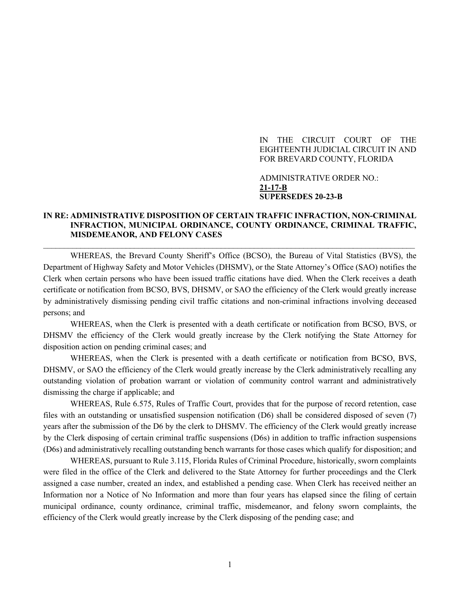#### IN THE CIRCUIT COURT OF THE EIGHTEENTH JUDICIAL CIRCUIT IN AND FOR BREVARD COUNTY, FLORIDA

ADMINISTRATIVE ORDER NO.: **21-17-B SUPERSEDES 20-23-B**

#### **IN RE: ADMINISTRATIVE DISPOSITION OF CERTAIN TRAFFIC INFRACTION, NON-CRIMINAL INFRACTION, MUNICIPAL ORDINANCE, COUNTY ORDINANCE, CRIMINAL TRAFFIC, MISDEMEANOR, AND FELONY CASES**

\_\_\_\_\_\_\_\_\_\_\_\_\_\_\_\_\_\_\_\_\_\_\_\_\_\_\_\_\_\_\_\_\_\_\_\_\_\_\_\_\_\_\_\_\_\_\_\_\_\_\_\_\_\_\_\_\_\_\_\_\_\_\_\_\_\_\_\_\_\_\_\_\_\_\_\_\_\_\_\_\_\_\_\_\_\_\_\_\_\_

WHEREAS, the Brevard County Sheriff's Office (BCSO), the Bureau of Vital Statistics (BVS), the Department of Highway Safety and Motor Vehicles (DHSMV), or the State Attorney's Office (SAO) notifies the Clerk when certain persons who have been issued traffic citations have died. When the Clerk receives a death certificate or notification from BCSO, BVS, DHSMV, or SAO the efficiency of the Clerk would greatly increase by administratively dismissing pending civil traffic citations and non-criminal infractions involving deceased persons; and

WHEREAS, when the Clerk is presented with a death certificate or notification from BCSO, BVS, or DHSMV the efficiency of the Clerk would greatly increase by the Clerk notifying the State Attorney for disposition action on pending criminal cases; and

WHEREAS, when the Clerk is presented with a death certificate or notification from BCSO, BVS, DHSMV, or SAO the efficiency of the Clerk would greatly increase by the Clerk administratively recalling any outstanding violation of probation warrant or violation of community control warrant and administratively dismissing the charge if applicable; and

WHEREAS, Rule 6.575, Rules of Traffic Court, provides that for the purpose of record retention, case files with an outstanding or unsatisfied suspension notification (D6) shall be considered disposed of seven (7) years after the submission of the D6 by the clerk to DHSMV. The efficiency of the Clerk would greatly increase by the Clerk disposing of certain criminal traffic suspensions (D6s) in addition to traffic infraction suspensions (D6s) and administratively recalling outstanding bench warrants for those cases which qualify for disposition; and

WHEREAS, pursuant to Rule 3.115, Florida Rules of Criminal Procedure, historically, sworn complaints were filed in the office of the Clerk and delivered to the State Attorney for further proceedings and the Clerk assigned a case number, created an index, and established a pending case. When Clerk has received neither an Information nor a Notice of No Information and more than four years has elapsed since the filing of certain municipal ordinance, county ordinance, criminal traffic, misdemeanor, and felony sworn complaints, the efficiency of the Clerk would greatly increase by the Clerk disposing of the pending case; and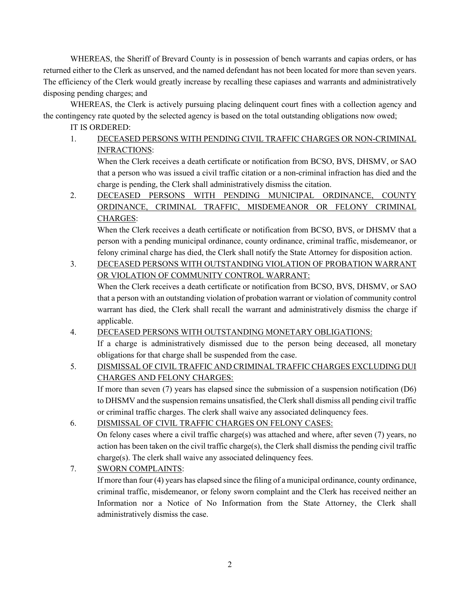WHEREAS, the Sheriff of Brevard County is in possession of bench warrants and capias orders, or has returned either to the Clerk as unserved, and the named defendant has not been located for more than seven years. The efficiency of the Clerk would greatly increase by recalling these capiases and warrants and administratively disposing pending charges; and

WHEREAS, the Clerk is actively pursuing placing delinquent court fines with a collection agency and the contingency rate quoted by the selected agency is based on the total outstanding obligations now owed;

IT IS ORDERED:

1. DECEASED PERSONS WITH PENDING CIVIL TRAFFIC CHARGES OR NON-CRIMINAL INFRACTIONS:

When the Clerk receives a death certificate or notification from BCSO, BVS, DHSMV, or SAO that a person who was issued a civil traffic citation or a non-criminal infraction has died and the charge is pending, the Clerk shall administratively dismiss the citation.

2. DECEASED PERSONS WITH PENDING MUNICIPAL ORDINANCE, COUNTY ORDINANCE, CRIMINAL TRAFFIC, MISDEMEANOR OR FELONY CRIMINAL CHARGES:

When the Clerk receives a death certificate or notification from BCSO, BVS, or DHSMV that a person with a pending municipal ordinance, county ordinance, criminal traffic, misdemeanor, or felony criminal charge has died, the Clerk shall notify the State Attorney for disposition action.

3. DECEASED PERSONS WITH OUTSTANDING VIOLATION OF PROBATION WARRANT OR VIOLATION OF COMMUNITY CONTROL WARRANT:

When the Clerk receives a death certificate or notification from BCSO, BVS, DHSMV, or SAO that a person with an outstanding violation of probation warrant or violation of community control warrant has died, the Clerk shall recall the warrant and administratively dismiss the charge if applicable.

4. DECEASED PERSONS WITH OUTSTANDING MONETARY OBLIGATIONS:

If a charge is administratively dismissed due to the person being deceased, all monetary obligations for that charge shall be suspended from the case.

5. DISMISSAL OF CIVIL TRAFFIC AND CRIMINAL TRAFFIC CHARGES EXCLUDING DUI CHARGES AND FELONY CHARGES:

If more than seven (7) years has elapsed since the submission of a suspension notification (D6) to DHSMV and the suspension remains unsatisfied, the Clerk shall dismiss all pending civil traffic or criminal traffic charges. The clerk shall waive any associated delinquency fees.

6. DISMISSAL OF CIVIL TRAFFIC CHARGES ON FELONY CASES:

On felony cases where a civil traffic charge(s) was attached and where, after seven (7) years, no action has been taken on the civil traffic charge(s), the Clerk shall dismiss the pending civil traffic charge(s). The clerk shall waive any associated delinquency fees.

7. SWORN COMPLAINTS:

If more than four (4) years has elapsed since the filing of a municipal ordinance, county ordinance, criminal traffic, misdemeanor, or felony sworn complaint and the Clerk has received neither an Information nor a Notice of No Information from the State Attorney, the Clerk shall administratively dismiss the case.